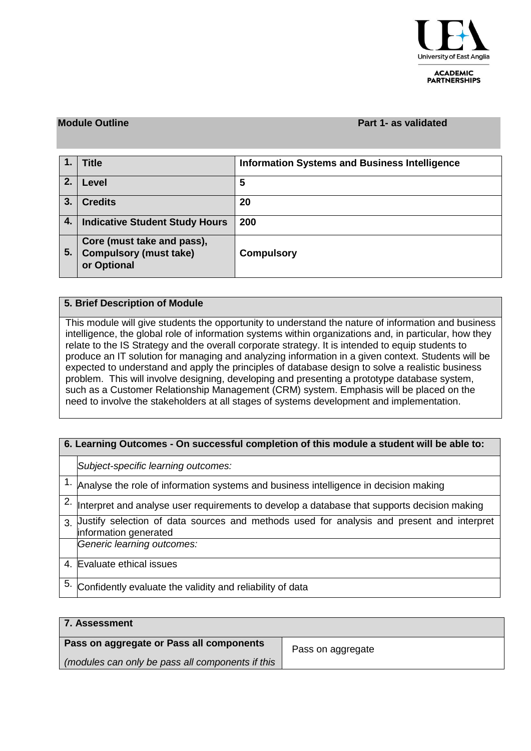

**ACADEMIC PARTNERSHIPS** 

### **Module Outline Part 1- as validated**

|    | <b>Title</b>                                                               | <b>Information Systems and Business Intelligence</b> |
|----|----------------------------------------------------------------------------|------------------------------------------------------|
| 2. | Level                                                                      | 5                                                    |
| 3. | <b>Credits</b>                                                             | 20                                                   |
| 4. | <b>Indicative Student Study Hours</b>                                      | 200                                                  |
| 5. | Core (must take and pass),<br><b>Compulsory (must take)</b><br>or Optional | <b>Compulsory</b>                                    |

## **5. Brief Description of Module**

This module will give students the opportunity to understand the nature of information and business intelligence, the global role of information systems within organizations and, in particular, how they relate to the IS Strategy and the overall corporate strategy. It is intended to equip students to produce an IT solution for managing and analyzing information in a given context. Students will be expected to understand and apply the principles of database design to solve a realistic business problem. This will involve designing, developing and presenting a prototype database system, such as a Customer Relationship Management (CRM) system. Emphasis will be placed on the need to involve the stakeholders at all stages of systems development and implementation.

| 6. Learning Outcomes - On successful completion of this module a student will be able to: |                                                                                                                    |  |  |  |  |  |
|-------------------------------------------------------------------------------------------|--------------------------------------------------------------------------------------------------------------------|--|--|--|--|--|
|                                                                                           | Subject-specific learning outcomes:                                                                                |  |  |  |  |  |
|                                                                                           | $1.$ Analyse the role of information systems and business intelligence in decision making                          |  |  |  |  |  |
|                                                                                           | $2.$ Interpret and analyse user requirements to develop a database that supports decision making                   |  |  |  |  |  |
| $\mathcal{R}$                                                                             | Uustify selection of data sources and methods used for analysis and present and interpret<br>information generated |  |  |  |  |  |
|                                                                                           | Generic learning outcomes:                                                                                         |  |  |  |  |  |
|                                                                                           | 4. Evaluate ethical issues                                                                                         |  |  |  |  |  |
| 5.                                                                                        | Confidently evaluate the validity and reliability of data                                                          |  |  |  |  |  |

| 7. Assessment                                    |                   |  |  |  |  |  |  |
|--------------------------------------------------|-------------------|--|--|--|--|--|--|
| Pass on aggregate or Pass all components         | Pass on aggregate |  |  |  |  |  |  |
| (modules can only be pass all components if this |                   |  |  |  |  |  |  |